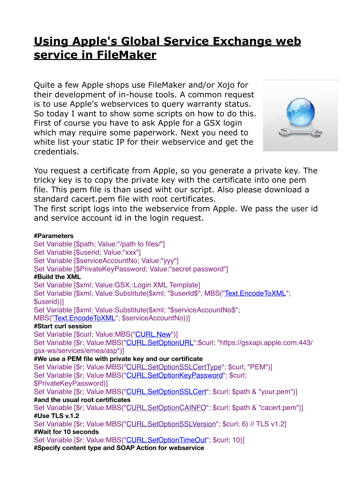# **[Using Apple's Global Service Exchange web](https://www.mbsplugins.de/archive/2017-02-21/Using_Apples_Global_Service_Ex)  [service in FileMaker](https://www.mbsplugins.de/archive/2017-02-21/Using_Apples_Global_Service_Ex)**

Quite a few Apple shops use FileMaker and/or Xojo for their development of in-house tools. A common request is to use Apple's webservices to query warranty status. So today I want to show some scripts on how to do this. First of course you have to ask Apple for a GSX login which may require some paperwork. Next you need to white list your static IP for their webservice and get the credentials.



You request a certificate from Apple, so you generate a private key. The tricky key is to copy the private key with the certificate into one pem file. This pem file is than used wiht our script. Also please download a standard cacert.pem file with root certificates.

The first script logs into the webservice from Apple. We pass the user id and service account id in the login request.

#### **#Parameters**

Set Variable [\$path; Value:"/path to files/"] Set Variable [\$userid; Value:"xxx"] Set Variable [\$serviceAccountNo; Value:"yyy"] Set Variable [\$PrivateKeyPassword; Value:"secret password"] **#Build the XML** Set Variable [\$xml; Value:GSX::Login XML Template] Set Variable [\$xml; Value:Substitute(\$xml; "\$userId\$"; MBS(["Text.EncodeToXML](http://www.mbsplugins.eu/TextEncodeToXML.shtml)"; \$userid))] Set Variable [\$xml; Value:Substitute(\$xml; "\$serviceAccountNo\$"; MBS(["Text.EncodeToXML](http://www.mbsplugins.eu/TextEncodeToXML.shtml)"; \$serviceAccountNo))] **#Start curl session** Set Variable [\$curl; Value:MBS(["CURL.New](http://www.mbsplugins.eu/CURLNew.shtml)")] Set Variable [\$r; Value:MBS("[CURL.SetOptionURL](http://www.mbsplugins.eu/CURLSetOptionURL.shtml)";\$curl; "https://gsxapi.apple.com:443/ gsx-ws/services/emea/asp")] **#We use a PEM file with private key and our certificate** Set Variable [\$r; Value:MBS("[CURL.SetOptionSSLCertType](http://www.mbsplugins.eu/CURLSetOptionSSLCertType.shtml)"; \$curl; "PEM")] Set Variable [\$r; Value:MBS("[CURL.SetOptionKeyPassword](http://www.mbsplugins.eu/CURLSetOptionKeyPassword.shtml)"; \$curl; \$PrivateKeyPassword)] Set Variable [\$r; Value:MBS("[CURL.SetOptionSSLCert](http://www.mbsplugins.eu/CURLSetOptionSSLCert.shtml)"; \$curl; \$path & "your.pem")] **#and the usual root certificates** Set Variable [\$r; Value:MBS("[CURL.SetOptionCAINFO](http://www.mbsplugins.eu/CURLSetOptionCAINFO.shtml)"; \$curl; \$path & "cacert.pem")] **#Use TLS v.1.2** Set Variable [\$r; Value:MBS("[CURL.SetOptionSSLVersion](http://www.mbsplugins.eu/CURLSetOptionSSLVersion.shtml)"; \$curl; 6) // TLS v1.2] **#Wait for 10 seconds** Set Variable [\$r; Value:MBS("[CURL.SetOptionTimeOut"](http://www.mbsplugins.eu/CURLSetOptionTimeOut.shtml); \$curl; 10)] **#Specify content type and SOAP Action for webservice**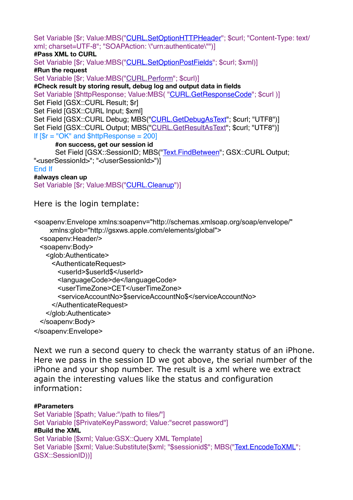Set Variable [\$r; Value:MBS("[CURL.SetOptionHTTPHeader"](http://www.mbsplugins.eu/CURLSetOptionHTTPHeader.shtml); \$curl; "Content-Type: text/ xml; charset=UTF-8"; "SOAPAction: \"urn:authenticate\"")]

## **#Pass XML to CURL**

Set Variable [\$r; Value:MBS("[CURL.SetOptionPostFields](http://www.mbsplugins.eu/CURLSetOptionPostFields.shtml)"; \$curl; \$xml)]

**#Run the request**

Set Variable [\$r: Value:MBS("[CURL.Perform](http://www.mbsplugins.eu/CURLPerform.shtml)": \$curl)]

**#Check result by storing result, debug log and output data in fields**

Set Variable [\$httpResponse; Value:MBS( ["CURL.GetResponseCode](http://www.mbsplugins.eu/CURLGetResponseCode.shtml)"; \$curl )] Set Field [GSX::CURL Result; \$r]

Set Field [GSX::CURL Input; \$xml]

Set Field [GSX::CURL Debug; MBS("[CURL.GetDebugAsText](http://www.mbsplugins.eu/CURLGetDebugAsText.shtml)"; \$curl; "UTF8")] Set Field [GSX::CURL Output; MBS(["CURL.GetResultAsText"](http://www.mbsplugins.eu/CURLGetResultAsText.shtml); \$curl; "UTF8")] If  $\sqrt{\$r} = "OK"$  and  $\sqrt{\$httpResponse = 200}$ 

## **#on success, get our session id**

```
"Text.FindBetween"; GSX::CURL Output;
"<userSessionId>"; "</userSessionId>")]
End If
```
**#always clean up** Set Variable [\$r: Value:MBS("[CURL.Cleanup](http://www.mbsplugins.eu/CURLCleanup.shtml)")]

Here is the login template:

<soapenv:Envelope xmlns:soapenv="http://schemas.xmlsoap.org/soap/envelope/" xmlns:glob="http://gsxws.apple.com/elements/global"> <soapenv:Header/> <soapenv:Body> <glob:Authenticate> <AuthenticateRequest> <userId>\$userId\$</userId> <languageCode>de</languageCode> <userTimeZone>CET</userTimeZone> <serviceAccountNo>\$serviceAccountNo\$</serviceAccountNo> </AuthenticateRequest> </glob:Authenticate> </soapenv:Body> </soapenv:Envelope>

Next we run a second query to check the warranty status of an iPhone. Here we pass in the session ID we got above, the serial number of the iPhone and your shop number. The result is a xml where we extract again the interesting values like the status and configuration information:

#### **#Parameters**

Set Variable [\$path; Value:"/path to files/"] Set Variable [\$PrivateKeyPassword; Value:"secret password"] **#Build the XML** Set Variable [\$xml; Value:GSX::Query XML Template] Set Variable [\$xml; Value:Substitute(\$xml; "\$sessionid\$"; MBS(["Text.EncodeToXML"](http://www.mbsplugins.eu/TextEncodeToXML.shtml); GSX::SessionID))]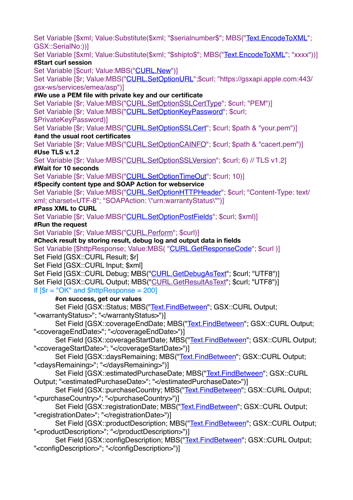Set Variable [\$xml; Value:Substitute(\$xml; "\$serialnumber\$"; MBS("[Text.EncodeToXML](http://www.mbsplugins.eu/TextEncodeToXML.shtml)"; GSX::SerialNo:))] Set Variable [\$xml; Value:Substitute(\$xml; "\$shipto\$"; MBS(["Text.EncodeToXML"](http://www.mbsplugins.eu/TextEncodeToXML.shtml); "xxxx"))] **#Start curl session** Set Variable [\$curl; Value:MBS(["CURL.New](http://www.mbsplugins.eu/CURLNew.shtml)")] Set Variable [\$r; Value:MBS("[CURL.SetOptionURL](http://www.mbsplugins.eu/CURLSetOptionURL.shtml)";\$curl; "https://gsxapi.apple.com:443/ gsx-ws/services/emea/asp")] **#We use a PEM file with private key and our certificate** Set Variable [\$r; Value:MBS("[CURL.SetOptionSSLCertType](http://www.mbsplugins.eu/CURLSetOptionSSLCertType.shtml)"; \$curl; "PEM")] Set Variable [\$r; Value:MBS("[CURL.SetOptionKeyPassword](http://www.mbsplugins.eu/CURLSetOptionKeyPassword.shtml)"; \$curl; \$PrivateKeyPassword)] Set Variable [\$r; Value:MBS("[CURL.SetOptionSSLCert](http://www.mbsplugins.eu/CURLSetOptionSSLCert.shtml)"; \$curl; \$path & "vour.pem")] **#and the usual root certificates** Set Variable [\$r; Value:MBS("[CURL.SetOptionCAINFO](http://www.mbsplugins.eu/CURLSetOptionCAINFO.shtml)"; \$curl; \$path & "cacert.pem")] **#Use TLS v.1.2** Set Variable [\$r; Value:MBS("[CURL.SetOptionSSLVersion](http://www.mbsplugins.eu/CURLSetOptionSSLVersion.shtml)"; \$curl; 6) // TLS v1.2] **#Wait for 10 seconds** Set Variable [\$r; Value:MBS("[CURL.SetOptionTimeOut"](http://www.mbsplugins.eu/CURLSetOptionTimeOut.shtml); \$curl; 10)] **#Specify content type and SOAP Action for webservice** Set Variable [\$r; Value:MBS("[CURL.SetOptionHTTPHeader"](http://www.mbsplugins.eu/CURLSetOptionHTTPHeader.shtml); \$curl; "Content-Type: text/ xml; charset=UTF-8"; "SOAPAction: \"urn:warrantyStatus\"")] **#Pass XML to CURL** Set Variable [\$r; Value:MBS("[CURL.SetOptionPostFields](http://www.mbsplugins.eu/CURLSetOptionPostFields.shtml)"; \$curl; \$xml)] **#Run the request** Set Variable [\$r; Value:MBS("[CURL.Perform](http://www.mbsplugins.eu/CURLPerform.shtml)"; \$curl)] **#Check result by storing result, debug log and output data in fields** Set Variable [\$httpResponse; Value:MBS(["CURL.GetResponseCode](http://www.mbsplugins.eu/CURLGetResponseCode.shtml)"; \$curl )] Set Field [GSX::CURL Result; \$r] Set Field [GSX::CURL Input; \$xml] Set Field [GSX::CURL Debug; MBS("[CURL.GetDebugAsText](http://www.mbsplugins.eu/CURLGetDebugAsText.shtml)"; \$curl; "UTF8")] Set Field [GSX::CURL Output; MBS(["CURL.GetResultAsText"](http://www.mbsplugins.eu/CURLGetResultAsText.shtml); \$curl; "UTF8")] If  $\sqrt{\$r} = \sqrt{\$K''\}$  and  $\sqrt{\$httpResponse = 200}$ **#on success, get our values** Set Field [GSX::Status; MBS("[Text.FindBetween](http://www.mbsplugins.eu/TextFindBetween.shtml)"; GSX::CURL Output; "<warrantyStatus>"; "</warrantyStatus>")] Set Field [GSX::coverageEndDate; MBS(["Text.FindBetween](http://www.mbsplugins.eu/TextFindBetween.shtml)"; GSX::CURL Output; "<coverageEndDate>"; "</coverageEndDate>")] Set Field [GSX::coverageStartDate; MBS(["Text.FindBetween](http://www.mbsplugins.eu/TextFindBetween.shtml)"; GSX::CURL Output; "<coverageStartDate>"; "</coverageStartDate>")] Set Field [GSX::daysRemaining; MBS(["Text.FindBetween](http://www.mbsplugins.eu/TextFindBetween.shtml)"; GSX::CURL Output; "<daysRemaining>"; "</daysRemaining>")] Set Field IGSX::estimatedPurchaseDate: MBS(["Text.FindBetween](http://www.mbsplugins.eu/TextFindBetween.shtml)": GSX::CURL Output; "<estimatedPurchaseDate>"; "</estimatedPurchaseDate>")] Set Field [GSX::purchaseCountry; MBS(["Text.FindBetween](http://www.mbsplugins.eu/TextFindBetween.shtml)"; GSX::CURL Output; "<purchaseCountry>"; "</purchaseCountry>")] Set Field [GSX::registrationDate; MBS(["Text.FindBetween](http://www.mbsplugins.eu/TextFindBetween.shtml)"; GSX::CURL Output; "<registrationDate>"; "</registrationDate>")] Set Field [GSX::productDescription; MBS(["Text.FindBetween](http://www.mbsplugins.eu/TextFindBetween.shtml)"; GSX::CURL Output; "<productDescription>"; "</productDescription>")] Set Field [GSX::configDescription; MBS(["Text.FindBetween](http://www.mbsplugins.eu/TextFindBetween.shtml)"; GSX::CURL Output; "<configDescription>"; "</configDescription>")]